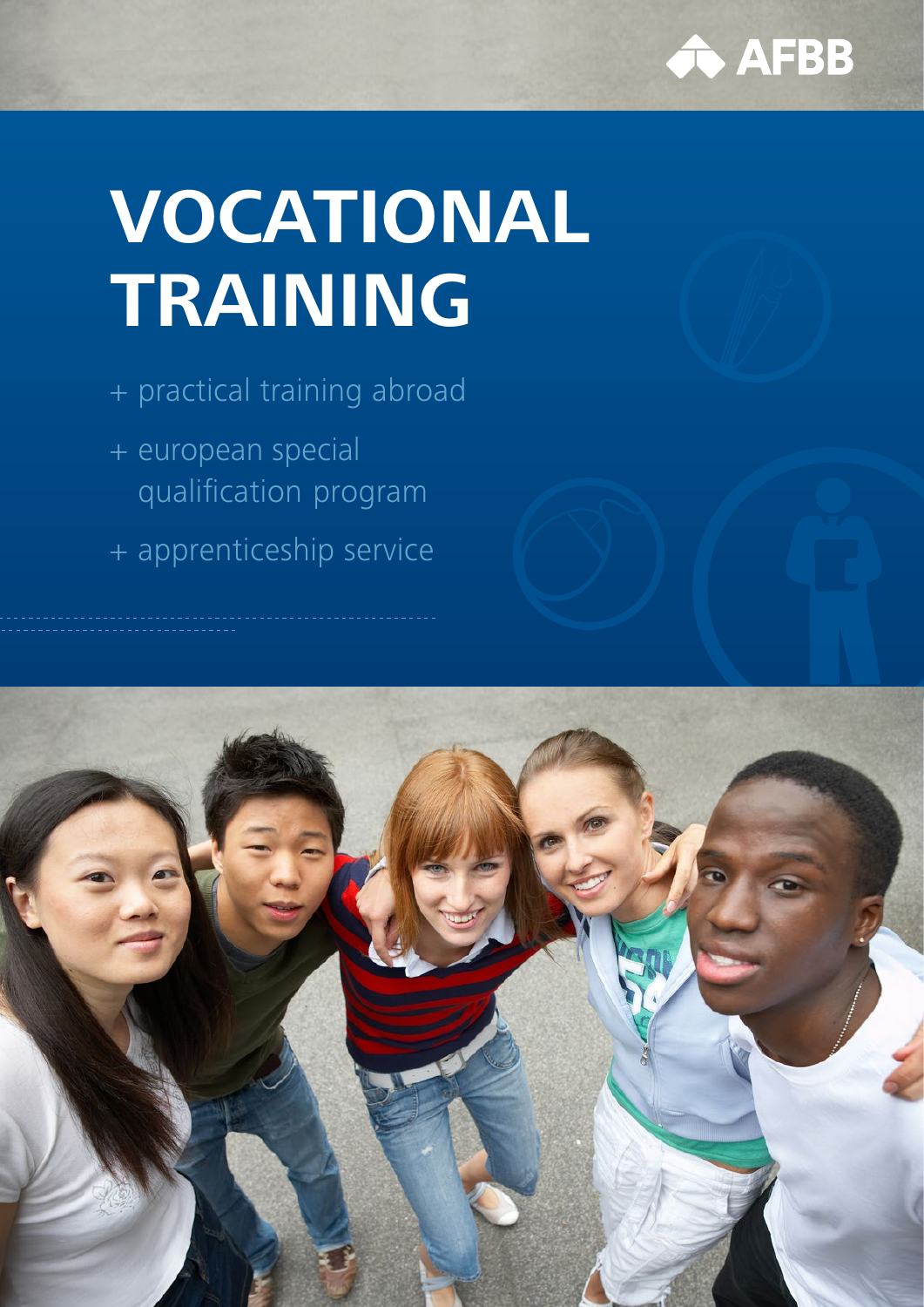

# **VOCATIONAL TRAINING**

+ practical training abroad

- + european special qualification program
- + apprenticeship service

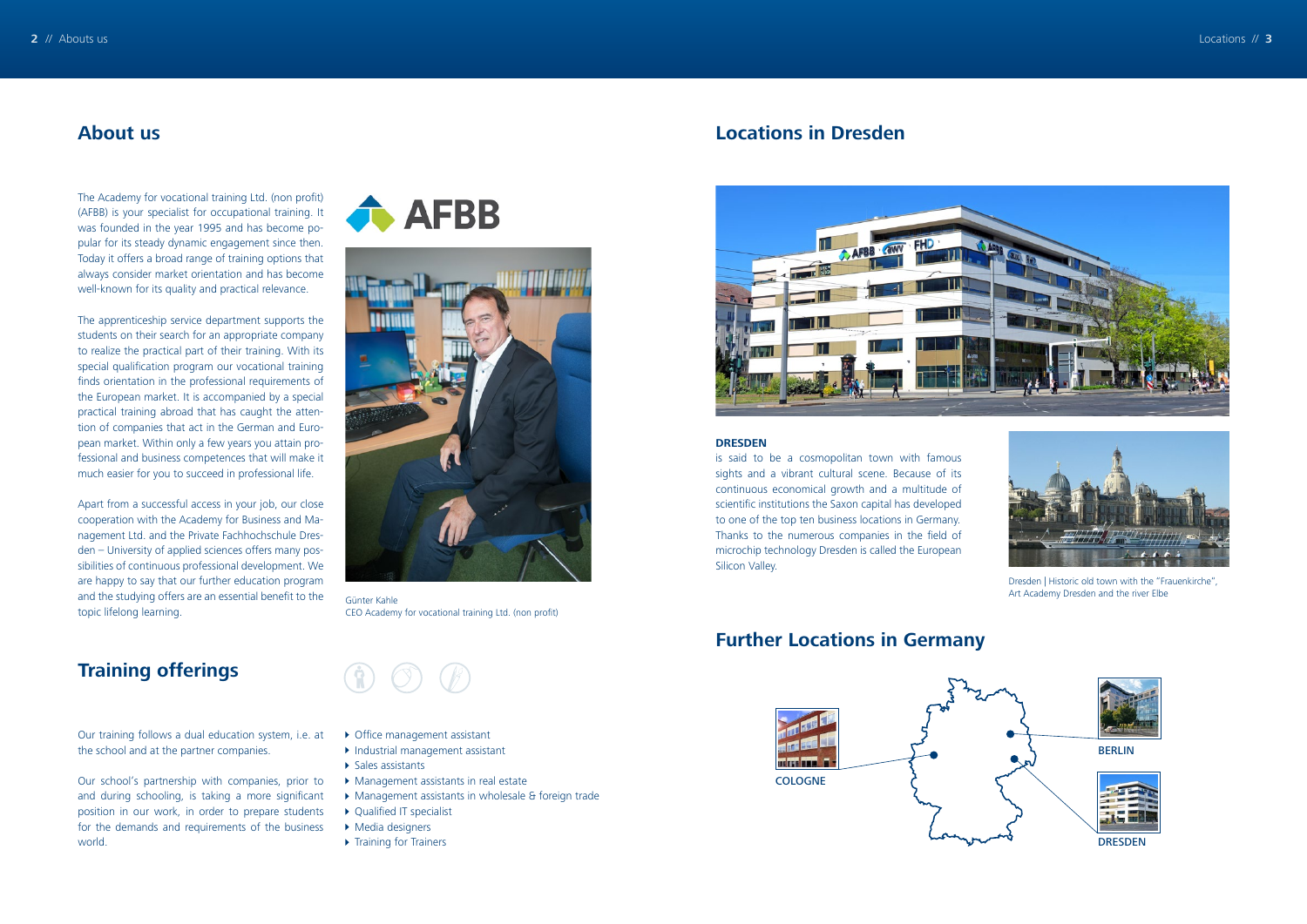The Academy for vocational training Ltd. (non profit) (AFBB) is your specialist for occupational training. It was founded in the year 1995 and has become popular for its steady dynamic engagement since then. Today it offers a broad range of training options that always consider market orientation and has become well-known for its quality and practical relevance.

The apprenticeship service department supports the students on their search for an appropriate company to realize the practical part of their training. With its special qualification program our vocational training finds orientation in the professional requirements of the European market. It is accompanied by a special practical training abroad that has caught the attention of companies that act in the German and European market. Within only a few years you attain professional and business competences that will make it much easier for you to succeed in professional life.



Dresden | Historic old town with the "Frauenkirche" Art Academy Dresden and the river Elbe

Apart from a successful access in your job, our close cooperation with the Academy for Business and Management Ltd. and the Private Fachhochschule Dresden – University of applied sciences offers many possibilities of continuous professional development. We are happy to say that our further education program and the studying offers are an essential benefit to the topic lifelong learning.

Günter Kahle CEO Academy for vocational training Ltd. (non profit)

 $\circledcirc$ 

- ▶ Office management assistant
- Industrial management assistant
- $\blacktriangleright$  Sales assistants
- Management assistants in real estate
- Management assistants in wholesale & foreign trade
- ▶ Qualified IT specialist
- Media designers
- ▶ Training for Trainers

## **About us Locations in Dresden**





#### **Further Locations in Germany**

## **Training offerings**

Our training follows a dual education system, i.e. at the school and at the partner companies.

Our school's partnership with companies, prior to and during schooling, is taking a more significant position in our work, in order to prepare students for the demands and requirements of the business world.

**AFBB** 



#### **DRESDEN**

is said to be a cosmopolitan town with famous sights and a vibrant cultural scene. Because of its continuous economical growth and a multitude of scientific institutions the Saxon capital has developed to one of the top ten business locations in Germany. Thanks to the numerous companies in the field of microchip technology Dresden is called the European Silicon Valley.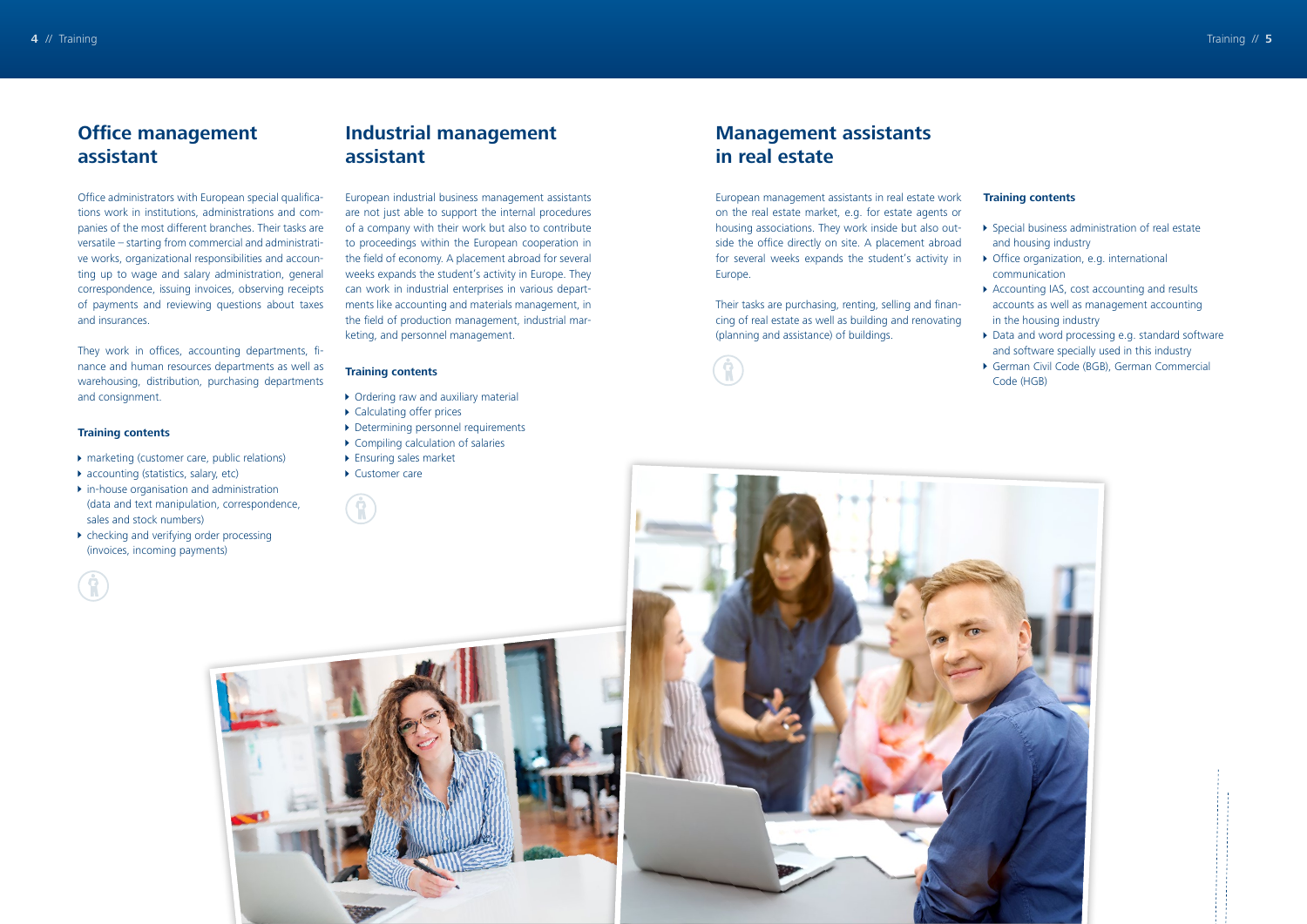## **Office management assistant**

Office administrators with European special qualifications work in institutions, administrations and companies of the most different branches. Their tasks are versatile – starting from commercial and administrative works, organizational responsibilities and accounting up to wage and salary administration, general correspondence, issuing invoices, observing receipts of payments and reviewing questions about taxes and insurances.

- ▶ marketing (customer care, public relations)
- ▶ accounting (statistics, salary, etc)
- $\triangleright$  in-house organisation and administration (data and text manipulation, correspondence, sales and stock numbers)
- $\triangleright$  checking and verifying order processing (invoices, incoming payments)

They work in offices, accounting departments, finance and human resources departments as well as warehousing, distribution, purchasing departments and consignment.

#### **Training contents**

 $\mathbf{G}$ 

## **Industrial management assistant**

European industrial business management assistants are not just able to support the internal procedures of a company with their work but also to contribute to proceedings within the European cooperation in the field of economy. A placement abroad for several weeks expands the student's activity in Europe. They can work in industrial enterprises in various departments like accounting and materials management, in the field of production management, industrial marketing, and personnel management.

#### **Training contents**

- ▶ Ordering raw and auxiliary material
- ▶ Calculating offer prices
- Determining personnel requirements
- Compiling calculation of salaries
- ▶ Ensuring sales market
- ▶ Customer care

 $\mathcal{F}(\mathbf{f})$ 



## **Management assistants in real estate**

European management assistants in real estate work on the real estate market, e.g. for estate agents or housing associations. They work inside but also outside the office directly on site. A placement abroad for several weeks expands the student's activity in Europe.

Their tasks are purchasing, renting, selling and financing of real estate as well as building and renovating (planning and assistance) of buildings.



#### **Training contents**

- Special business administration of real estate
- and housing industry
- Office organization, e.g. international
- communication
- ▶ Accounting IAS, cost accounting and results
- accounts as well as management accounting in the housing industry
- Data and word processing e.g. standard software
- and software specially used in this industry
- German Civil Code (BGB), German Commercial Code (HGB)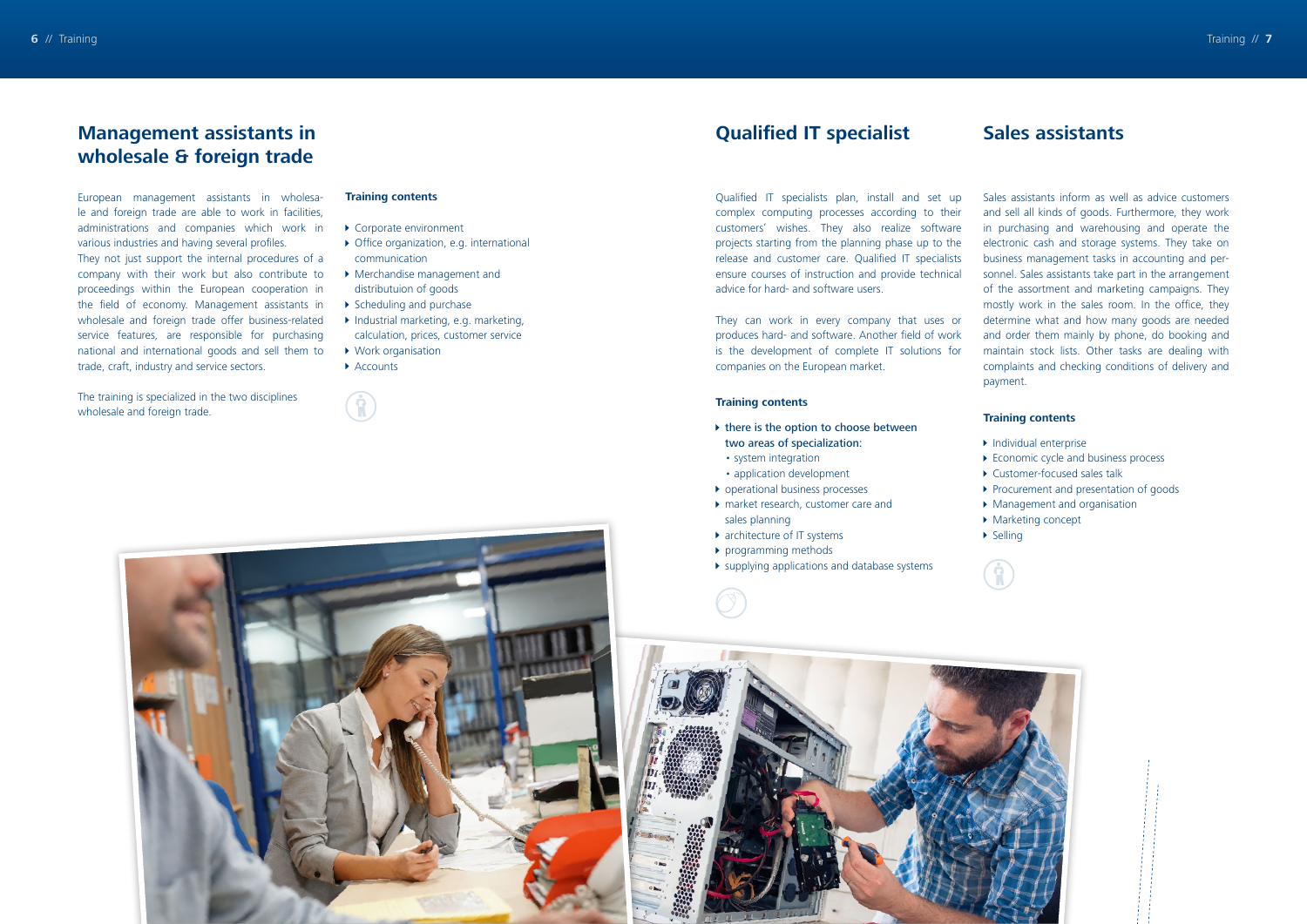### **Qualified IT specialist**

Qualified IT specialists plan, install and set up complex computing processes according to their customers' wishes. They also realize software projects starting from the planning phase up to the release and customer care. Qualified IT specialists ensure courses of instruction and provide technical advice for hard- and software users.

- $\blacktriangleright$  there is the option to choose between two areas of specialization:
- system integration
- application development
- **D** operational business processes
- market research, customer care and sales planning
- ▶ architecture of IT systems
- **P** programming methods
- supplying applications and database systems





They can work in every company that uses or produces hard- and software. Another field of work is the development of complete IT solutions for companies on the European market.

#### **Training contents**

- Corporate environment
- ▶ Office organization, e.g. international communication
- Merchandise management and distributuion of goods
- ▶ Scheduling and purchase
- ▶ Industrial marketing, e.g. marketing, calculation, prices, customer service
- ▶ Work organisation
- ▶ Accounts

 $\mathbf{G}$ 

## **Management assistants in wholesale & foreign trade**

European management assistants in wholesale and foreign trade are able to work in facilities, administrations and companies which work in various industries and having several profiles. They not just support the internal procedures of a company with their work but also contribute to proceedings within the European cooperation in the field of economy. Management assistants in wholesale and foreign trade offer business-related service features, are responsible for purchasing national and international goods and sell them to trade, craft, industry and service sectors.

The training is specialized in the two disciplines wholesale and foreign trade.

#### **Training contents**

#### **Sales assistants**

Sales assistants inform as well as advice customers and sell all kinds of goods. Furthermore, they work in purchasing and warehousing and operate the electronic cash and storage systems. They take on business management tasks in accounting and personnel. Sales assistants take part in the arrangement of the assortment and marketing campaigns. They mostly work in the sales room. In the office, they determine what and how many goods are needed and order them mainly by phone, do booking and maintain stock lists. Other tasks are dealing with complaints and checking conditions of delivery and payment.

#### **Training contents**

- $\blacktriangleright$  Individual enterprise
- Economic cycle and business process
- Customer-focused sales talk
- Procurement and presentation of goods
- Management and organisation
- ▶ Marketing concept
- $\triangleright$  Selling